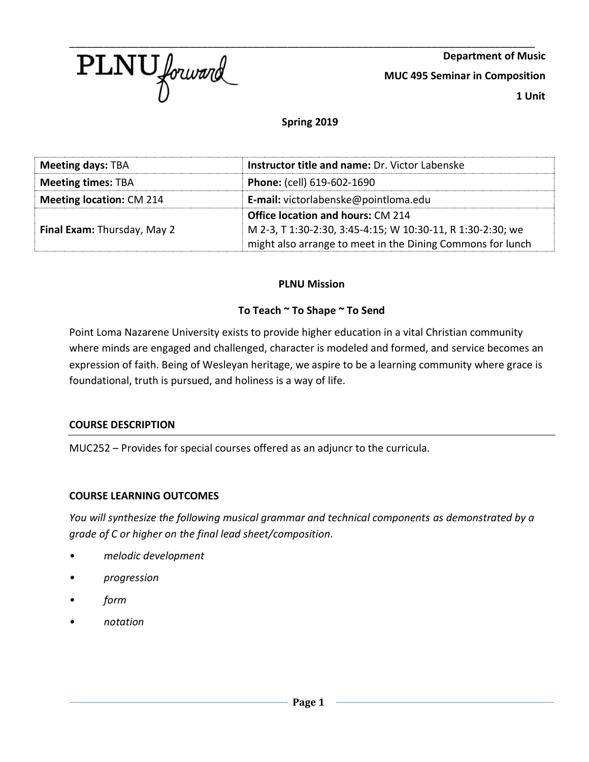

**Department of Music MUC 495 Seminar in Composition 1 Unit**

### **Spring 2019**

| <b>Meeting days: TBA</b>           | <b>Instructor title and name: Dr. Victor Labenske</b>      |  |
|------------------------------------|------------------------------------------------------------|--|
| <b>Meeting times: TBA</b>          | <b>Phone:</b> (cell) 619-602-1690                          |  |
| <b>Meeting location: CM 214</b>    | E-mail: victorlabenske@pointloma.edu                       |  |
|                                    | <b>Office location and hours: CM 214</b>                   |  |
| <b>Final Exam: Thursday, May 2</b> | M 2-3, T 1:30-2:30, 3:45-4:15; W 10:30-11, R 1:30-2:30; we |  |
|                                    | might also arrange to meet in the Dining Commons for lunch |  |

#### **PLNU Mission**

#### **To Teach ~ To Shape ~ To Send**

Point Loma Nazarene University exists to provide higher education in a vital Christian community where minds are engaged and challenged, character is modeled and formed, and service becomes an expression of faith. Being of Wesleyan heritage, we aspire to be a learning community where grace is foundational, truth is pursued, and holiness is a way of life.

#### **COURSE DESCRIPTION**

MUC252 – Provides for special courses offered as an adjuncr to the curricula.

#### **COURSE LEARNING OUTCOMES**

*You will synthesize the following musical grammar and technical components as demonstrated by a grade of C or higher on the final lead sheet/composition.*

- *• melodic development*
- *• progression*
- *• form*
- *• notation*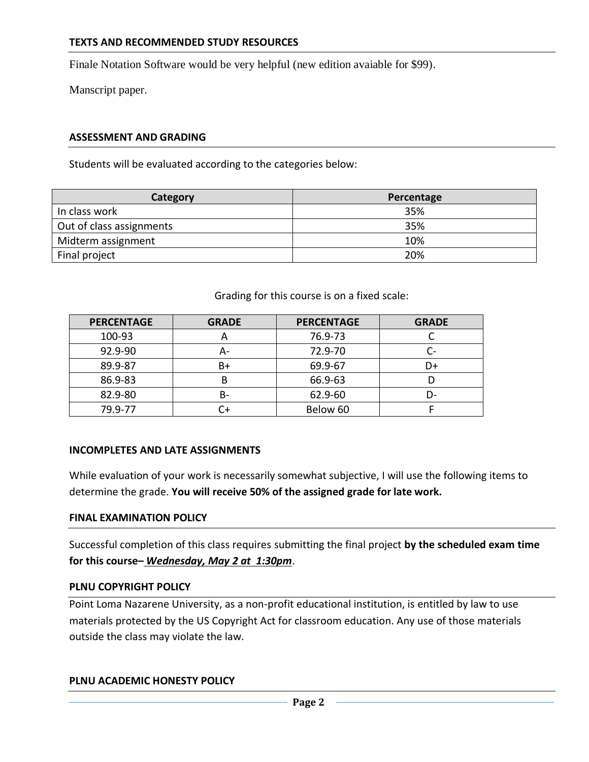Finale Notation Software would be very helpful (new edition avaiable for \$99).

Manscript paper.

### **ASSESSMENT AND GRADING**

Students will be evaluated according to the categories below:

| Category                 | Percentage |
|--------------------------|------------|
| In class work            | 35%        |
| Out of class assignments | 35%        |
| Midterm assignment       | 10%        |
| Final project            | 20%        |

Grading for this course is on a fixed scale:

| <b>PERCENTAGE</b> | <b>GRADE</b> | <b>PERCENTAGE</b> | <b>GRADE</b> |
|-------------------|--------------|-------------------|--------------|
| 100-93            | A            | 76.9-73           |              |
| 92.9-90           | А-           | 72.9-70           |              |
| 89.9-87           | B+           | 69.9-67           | D+           |
| 86.9-83           | В            | 66.9-63           |              |
| 82.9-80           | B-           | 62.9-60           | D-           |
| 79.9-77           | C+           | Below 60          |              |

#### **INCOMPLETES AND LATE ASSIGNMENTS**

While evaluation of your work is necessarily somewhat subjective, I will use the following items to determine the grade. **You will receive 50% of the assigned grade for late work.**

#### **FINAL EXAMINATION POLICY**

Successful completion of this class requires submitting the final project **by the scheduled exam time for this course–** *Wednesday, May 2 at 1:30pm*.

#### **PLNU COPYRIGHT POLICY**

Point Loma Nazarene University, as a non-profit educational institution, is entitled by law to use materials protected by the US Copyright Act for classroom education. Any use of those materials outside the class may violate the law.

#### **PLNU ACADEMIC HONESTY POLICY**